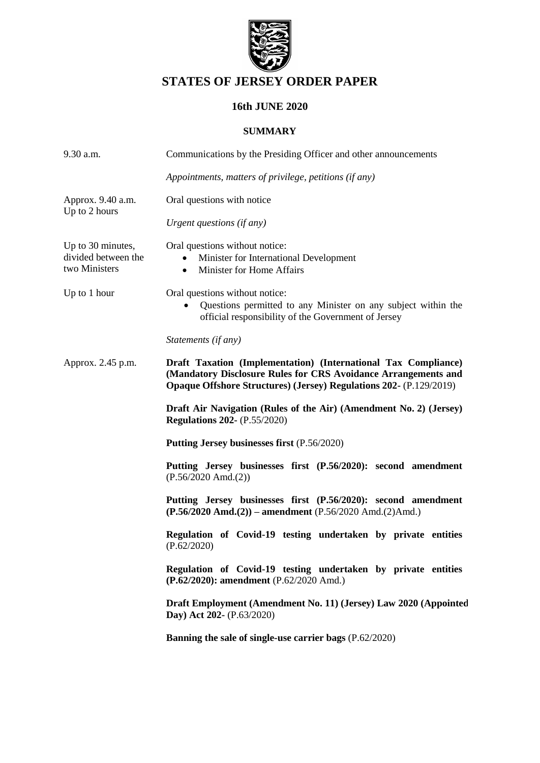

# **STATES OF JERSEY ORDER PAPER**

## **16th JUNE 2020**

### **SUMMARY**

| 9.30 a.m.                                                 | Communications by the Presiding Officer and other announcements                                                                                                                                               |
|-----------------------------------------------------------|---------------------------------------------------------------------------------------------------------------------------------------------------------------------------------------------------------------|
|                                                           | Appointments, matters of privilege, petitions (if any)                                                                                                                                                        |
| Approx. 9.40 a.m.                                         | Oral questions with notice                                                                                                                                                                                    |
| Up to 2 hours                                             | Urgent questions (if any)                                                                                                                                                                                     |
| Up to 30 minutes,<br>divided between the<br>two Ministers | Oral questions without notice:<br>Minister for International Development<br>Minister for Home Affairs<br>$\bullet$                                                                                            |
| Up to 1 hour                                              | Oral questions without notice:<br>Questions permitted to any Minister on any subject within the<br>official responsibility of the Government of Jersey                                                        |
|                                                           | Statements (if any)                                                                                                                                                                                           |
| Approx. 2.45 p.m.                                         | Draft Taxation (Implementation) (International Tax Compliance)<br>(Mandatory Disclosure Rules for CRS Avoidance Arrangements and<br><b>Opaque Offshore Structures) (Jersey) Regulations 202- (P.129/2019)</b> |
|                                                           | Draft Air Navigation (Rules of the Air) (Amendment No. 2) (Jersey)<br><b>Regulations 202-</b> (P.55/2020)                                                                                                     |
|                                                           | Putting Jersey businesses first (P.56/2020)                                                                                                                                                                   |
|                                                           | Putting Jersey businesses first (P.56/2020): second amendment<br>$(P.56/2020$ Amd. $(2))$                                                                                                                     |
|                                                           | Putting Jersey businesses first (P.56/2020): second amendment<br>$(P.56/2020 \text{ Amd.}(2))$ – amendment $(P.56/2020 \text{ Amd.}(2)$ Amd.)                                                                 |
|                                                           | Regulation of Covid-19 testing undertaken by private entities<br>(P.62/2020)                                                                                                                                  |
|                                                           | Regulation of Covid-19 testing undertaken by private entities<br>(P.62/2020): amendment (P.62/2020 Amd.)                                                                                                      |
|                                                           | Draft Employment (Amendment No. 11) (Jersey) Law 2020 (Appointed<br>Day) Act 202- (P.63/2020)                                                                                                                 |
|                                                           | Banning the sale of single-use carrier bags (P.62/2020)                                                                                                                                                       |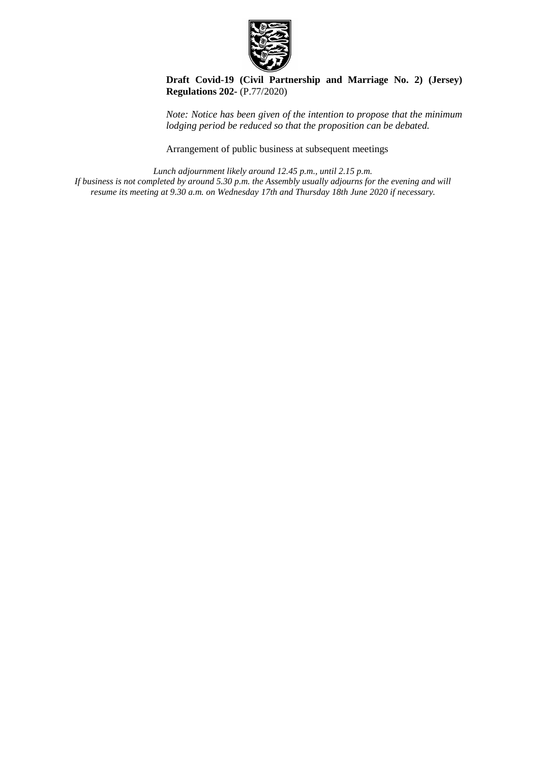

**[Draft Covid-19 \(Civil Partnership and Marriage No. 2\) \(Jersey\)](https://statesassembly.gov.je/AssemblyPropositions/2020/P.77-2020.pdf)  [Regulations 202-](https://statesassembly.gov.je/AssemblyPropositions/2020/P.77-2020.pdf)** (P.77/2020)

*Note: Notice has been given of the intention to propose that the minimum lodging period be reduced so that the proposition can be debated.*

Arrangement of public business at subsequent meetings

*Lunch adjournment likely around 12.45 p.m., until 2.15 p.m. If business is not completed by around 5.30 p.m. the Assembly usually adjourns for the evening and will resume its meeting at 9.30 a.m. on Wednesday 17th and Thursday 18th June 2020 if necessary.*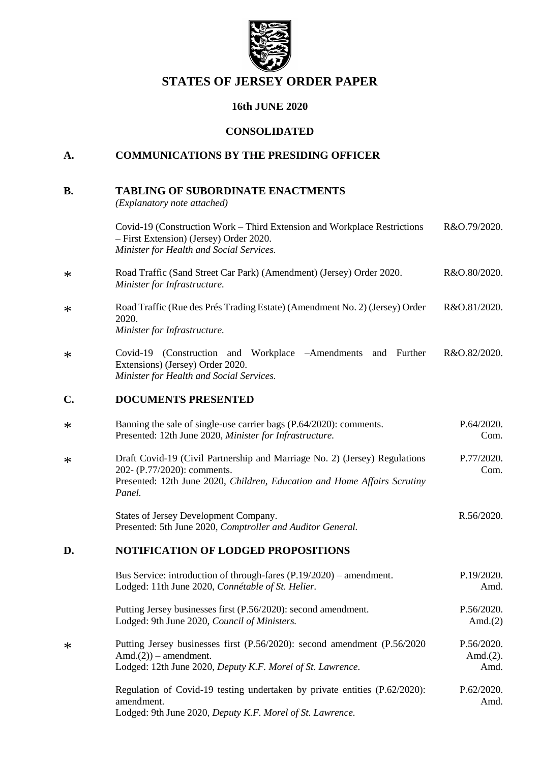

## **STATES OF JERSEY ORDER PAPER**

## **16th JUNE 2020**

## **CONSOLIDATED**

## **A. COMMUNICATIONS BY THE PRESIDING OFFICER**

| В. | <b>TABLING OF SUBORDINATE ENACTMENTS</b> |  |
|----|------------------------------------------|--|
|    |                                          |  |

*(Explanatory note attached)*

\*

\*

\*

\*

\*

\*

[amendment.](https://statesassembly.gov.je/AssemblyPropositions/2020/P.62-2020Amd.pdf)

Lodged: 9th June 2020, *[Deputy K.F. Morel of St. Lawrence.](https://statesassembly.gov.je/AssemblyPropositions/2020/P.62-2020Amd.pdf)*

|        | Covid-19 (Construction Work – Third Extension and Workplace Restrictions<br>- First Extension) (Jersey) Order 2020.<br>Minister for Health and Social Services.                                 | R&O.79/2020.                       |
|--------|-------------------------------------------------------------------------------------------------------------------------------------------------------------------------------------------------|------------------------------------|
| $\ast$ | Road Traffic (Sand Street Car Park) (Amendment) (Jersey) Order 2020.<br>Minister for Infrastructure.                                                                                            | R&O.80/2020.                       |
| $\ast$ | Road Traffic (Rue des Prés Trading Estate) (Amendment No. 2) (Jersey) Order<br>2020.<br>Minister for Infrastructure.                                                                            | R&O.81/2020.                       |
| $\ast$ | Covid-19 (Construction and Workplace -Amendments<br>and Further<br>Extensions) (Jersey) Order 2020.<br>Minister for Health and Social Services.                                                 | R&O.82/2020.                       |
| C.     | <b>DOCUMENTS PRESENTED</b>                                                                                                                                                                      |                                    |
| $\ast$ | Banning the sale of single-use carrier bags (P.64/2020): comments.<br>Presented: 12th June 2020, Minister for Infrastructure.                                                                   | P.64/2020.<br>Com.                 |
| $\ast$ | Draft Covid-19 (Civil Partnership and Marriage No. 2) (Jersey) Regulations<br>202- (P.77/2020): comments.<br>Presented: 12th June 2020, Children, Education and Home Affairs Scrutiny<br>Panel. | P.77/2020.<br>Com.                 |
|        | States of Jersey Development Company.<br>Presented: 5th June 2020, Comptroller and Auditor General.                                                                                             | R.56/2020.                         |
| D.     | <b>NOTIFICATION OF LODGED PROPOSITIONS</b>                                                                                                                                                      |                                    |
|        | Bus Service: introduction of through-fares $(P.19/2020)$ – amendment.<br>Lodged: 11th June 2020, Connétable of St. Helier.                                                                      | P.19/2020.<br>Amd.                 |
|        | Putting Jersey businesses first (P.56/2020): second amendment.<br>Lodged: 9th June 2020, Council of Ministers.                                                                                  | P.56/2020.<br>Amd. $(2)$           |
| $\ast$ | Putting Jersey businesses first (P.56/2020): second amendment (P.56/2020)<br>$Amd.(2))$ – amendment.<br>Lodged: 12th June 2020, Deputy K.F. Morel of St. Lawrence.                              | P.56/2020.<br>Amd. $(2)$ .<br>Amd. |
|        | Regulation of Covid-19 testing undertaken by private entities (P.62/2020):                                                                                                                      | P.62/2020.                         |

[Amd.](https://statesassembly.gov.je/AssemblyPropositions/2020/P.62-2020Amd.pdf)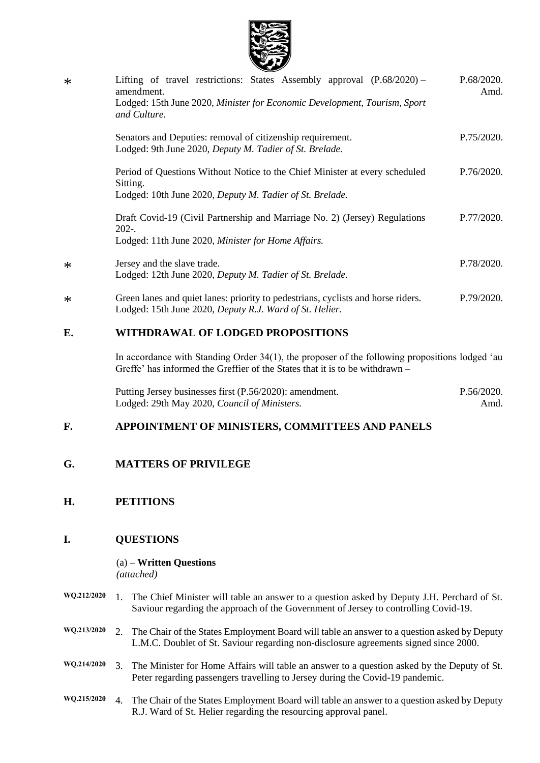

| $\ast$ | Lifting of travel restrictions: States Assembly approval (P.68/2020) –<br>amendment.<br>Lodged: 15th June 2020, Minister for Economic Development, Tourism, Sport<br>and Culture. | P.68/2020.<br>Amd. |
|--------|-----------------------------------------------------------------------------------------------------------------------------------------------------------------------------------|--------------------|
|        | Senators and Deputies: removal of citizenship requirement.<br>Lodged: 9th June 2020, Deputy M. Tadier of St. Brelade.                                                             | P.75/2020.         |
|        | Period of Questions Without Notice to the Chief Minister at every scheduled<br>Sitting.<br>Lodged: 10th June 2020, Deputy M. Tadier of St. Brelade.                               | P.76/2020.         |
|        | Draft Covid-19 (Civil Partnership and Marriage No. 2) (Jersey) Regulations<br>$202 -$<br>Lodged: 11th June 2020, Minister for Home Affairs.                                       | P.77/2020.         |
| $\ast$ | Jersey and the slave trade.<br>Lodged: 12th June 2020, Deputy M. Tadier of St. Brelade.                                                                                           | P.78/2020.         |
| $\ast$ | Green lanes and quiet lanes: priority to pedestrians, cyclists and horse riders.<br>Lodged: 15th June 2020, Deputy R.J. Ward of St. Helier.                                       | P.79/2020.         |
| E.     | WITHDRAWAL OF LODGED PROPOSITIONS                                                                                                                                                 |                    |

## In accordance with Standing Order 34(1), the proposer of the following propositions lodged 'au Greffe' has informed the Greffier of the States that it is to be withdrawn –

[Putting Jersey businesses first \(P.56/2020\): amendment.](https://statesassembly.gov.je/AssemblyPropositions/2020/P.56-2020Amd.pdf) [Lodged: 29th May 2020,](https://statesassembly.gov.je/AssemblyPropositions/2020/P.56-2020Amd.pdf) *Council of Ministers.* [P.56/2020.](https://statesassembly.gov.je/AssemblyPropositions/2020/P.56-2020Amd.pdf) [Amd.](https://statesassembly.gov.je/AssemblyPropositions/2020/P.56-2020Amd.pdf)

## **F. APPOINTMENT OF MINISTERS, COMMITTEES AND PANELS**

## **G. MATTERS OF PRIVILEGE**

## **H. PETITIONS**

## **I. QUESTIONS**

(a) – **Written Questions** *(attached)*

- **WQ.212/2020** 1. The Chief Minister will table an answer to a question asked by Deputy J.H. Perchard of St. Saviour regarding the approach of the Government of Jersey to controlling Covid-19.
- **WQ.213/2020** 2. The Chair of the States Employment Board will table an answer to a question asked by Deputy L.M.C. Doublet of St. Saviour regarding non-disclosure agreements signed since 2000.
- **WQ.214/2020** 3. The Minister for Home Affairs will table an answer to a question asked by the Deputy of St. Peter regarding passengers travelling to Jersey during the Covid-19 pandemic.
- **WQ.215/2020** 4. The Chair of the States Employment Board will table an answer to a question asked by Deputy R.J. Ward of St. Helier regarding the resourcing approval panel.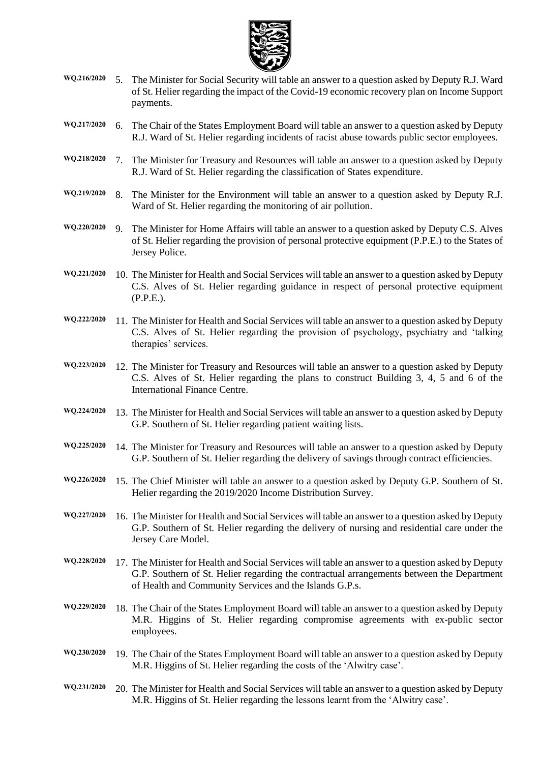

- **WQ.216/2020** 5. The Minister for Social Security will table an answer to a question asked by Deputy R.J. Ward of St. Helier regarding the impact of the Covid-19 economic recovery plan on Income Support payments.
- **WQ.217/2020** 6. The Chair of the States Employment Board will table an answer to a question asked by Deputy R.J. Ward of St. Helier regarding incidents of racist abuse towards public sector employees.
- **WQ.218/2020** 7. The Minister for Treasury and Resources will table an answer to a question asked by Deputy R.J. Ward of St. Helier regarding the classification of States expenditure.
- **WQ.219/2020** 8. The Minister for the Environment will table an answer to a question asked by Deputy R.J. Ward of St. Helier regarding the monitoring of air pollution.
- **WQ.220/2020** 9. The Minister for Home Affairs will table an answer to a question asked by Deputy C.S. Alves of St. Helier regarding the provision of personal protective equipment (P.P.E.) to the States of Jersey Police.
- **WQ.221/2020** 10. The Minister for Health and Social Services will table an answer to a question asked by Deputy C.S. Alves of St. Helier regarding guidance in respect of personal protective equipment (P.P.E.).
- **WQ.222/2020** 11. The Minister for Health and Social Services will table an answer to a question asked by Deputy C.S. Alves of St. Helier regarding the provision of psychology, psychiatry and 'talking therapies' services.
- **WQ.223/2020** 12. The Minister for Treasury and Resources will table an answer to a question asked by Deputy C.S. Alves of St. Helier regarding the plans to construct Building 3, 4, 5 and 6 of the International Finance Centre.
- **WQ.224/2020** 13. The Minister for Health and Social Services will table an answer to a question asked by Deputy G.P. Southern of St. Helier regarding patient waiting lists.
- **WQ.225/2020** 14. The Minister for Treasury and Resources will table an answer to a question asked by Deputy G.P. Southern of St. Helier regarding the delivery of savings through contract efficiencies.
- **WQ.226/2020** 15. The Chief Minister will table an answer to a question asked by Deputy G.P. Southern of St. Helier regarding the 2019/2020 Income Distribution Survey.
- **WQ.227/2020** 16. The Minister for Health and Social Services will table an answer to a question asked by Deputy G.P. Southern of St. Helier regarding the delivery of nursing and residential care under the Jersey Care Model.
- **WQ.228/2020** 17. The Minister for Health and Social Services will table an answer to a question asked by Deputy G.P. Southern of St. Helier regarding the contractual arrangements between the Department of Health and Community Services and the Islands G.P.s.
- **WQ.229/2020** 18. The Chair of the States Employment Board will table an answer to a question asked by Deputy M.R. Higgins of St. Helier regarding compromise agreements with ex-public sector employees.
- **WQ.230/2020** 19. The Chair of the States Employment Board will table an answer to a question asked by Deputy M.R. Higgins of St. Helier regarding the costs of the 'Alwitry case'.
- **WQ.231/2020** 20. The Minister for Health and Social Services will table an answer to a question asked by Deputy M.R. Higgins of St. Helier regarding the lessons learnt from the 'Alwitry case'.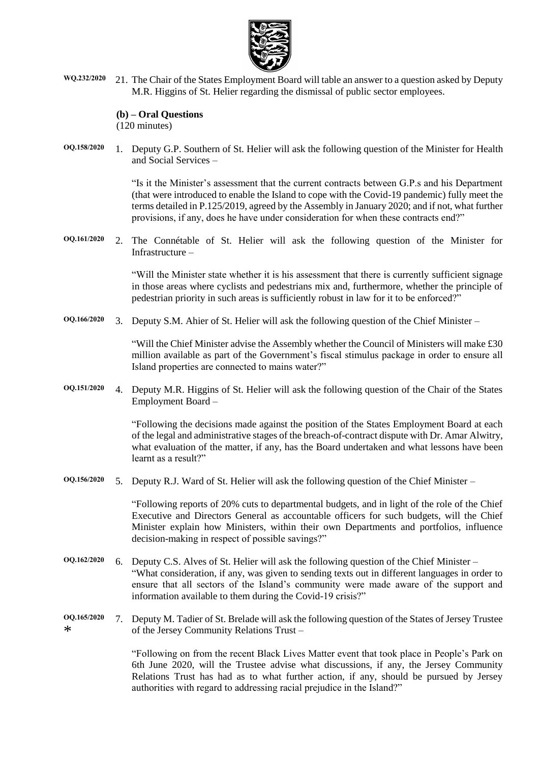

**WQ.232/2020** 21. The Chair of the States Employment Board will table an answer to a question asked by Deputy M.R. Higgins of St. Helier regarding the dismissal of public sector employees.

#### **(b) – Oral Questions**

(120 minutes)

**OQ.158/2020** 1. Deputy G.P. Southern of St. Helier will ask the following question of the Minister for Health and Social Services –

> "Is it the Minister's assessment that the current contracts between G.P.s and his Department (that were introduced to enable the Island to cope with the Covid-19 pandemic) fully meet the terms detailed in P.125/2019, agreed by the Assembly in January 2020; and if not, what further provisions, if any, does he have under consideration for when these contracts end?"

**OQ.161/2020** 2. The Connétable of St. Helier will ask the following question of the Minister for Infrastructure –

> "Will the Minister state whether it is his assessment that there is currently sufficient signage in those areas where cyclists and pedestrians mix and, furthermore, whether the principle of pedestrian priority in such areas is sufficiently robust in law for it to be enforced?"

**OQ.166/2020** 3. Deputy S.M. Ahier of St. Helier will ask the following question of the Chief Minister –

"Will the Chief Minister advise the Assembly whether the Council of Ministers will make £30 million available as part of the Government's fiscal stimulus package in order to ensure all Island properties are connected to mains water?"

**OQ.151/2020** 4. Deputy M.R. Higgins of St. Helier will ask the following question of the Chair of the States Employment Board –

> "Following the decisions made against the position of the States Employment Board at each of the legal and administrative stages of the breach-of-contract dispute with Dr. Amar Alwitry, what evaluation of the matter, if any, has the Board undertaken and what lessons have been learnt as a result?"

**OQ.156/2020** 5. Deputy R.J. Ward of St. Helier will ask the following question of the Chief Minister –

"Following reports of 20% cuts to departmental budgets, and in light of the role of the Chief Executive and Directors General as accountable officers for such budgets, will the Chief Minister explain how Ministers, within their own Departments and portfolios, influence decision-making in respect of possible savings?"

- **OQ.162/2020** 6. Deputy C.S. Alves of St. Helier will ask the following question of the Chief Minister "What consideration, if any, was given to sending texts out in different languages in order to ensure that all sectors of the Island's community were made aware of the support and information available to them during the Covid-19 crisis?"
- **OQ.165/2020** \* 7. Deputy M. Tadier of St. Brelade will ask the following question of the States of Jersey Trustee of the Jersey Community Relations Trust –

"Following on from the recent Black Lives Matter event that took place in People's Park on 6th June 2020, will the Trustee advise what discussions, if any, the Jersey Community Relations Trust has had as to what further action, if any, should be pursued by Jersey authorities with regard to addressing racial prejudice in the Island?"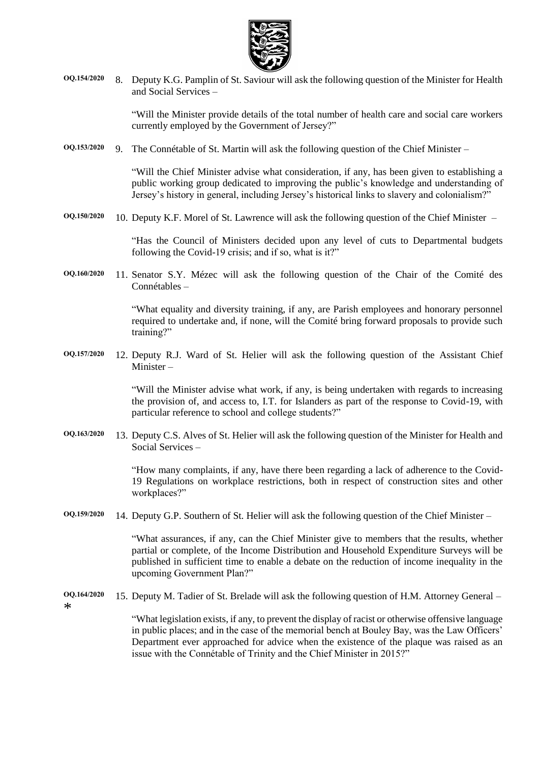

**OQ.154/2020** 8. Deputy K.G. Pamplin of St. Saviour will ask the following question of the Minister for Health and Social Services –

> "Will the Minister provide details of the total number of health care and social care workers currently employed by the Government of Jersey?"

**OQ.153/2020** 9. The Connétable of St. Martin will ask the following question of the Chief Minister –

"Will the Chief Minister advise what consideration, if any, has been given to establishing a public working group dedicated to improving the public's knowledge and understanding of Jersey's history in general, including Jersey's historical links to slavery and colonialism?"

**OQ.150/2020** 10. Deputy K.F. Morel of St. Lawrence will ask the following question of the Chief Minister –

"Has the Council of Ministers decided upon any level of cuts to Departmental budgets following the Covid-19 crisis; and if so, what is it?"

**OQ.160/2020** 11. Senator S.Y. Mézec will ask the following question of the Chair of the Comité des Connétables –

> "What equality and diversity training, if any, are Parish employees and honorary personnel required to undertake and, if none, will the Comité bring forward proposals to provide such training?"

**OQ.157/2020** 12. Deputy R.J. Ward of St. Helier will ask the following question of the Assistant Chief Minister –

> "Will the Minister advise what work, if any, is being undertaken with regards to increasing the provision of, and access to, I.T. for Islanders as part of the response to Covid-19, with particular reference to school and college students?"

**OQ.163/2020** 13. Deputy C.S. Alves of St. Helier will ask the following question of the Minister for Health and Social Services –

> "How many complaints, if any, have there been regarding a lack of adherence to the Covid-19 Regulations on workplace restrictions, both in respect of construction sites and other workplaces?"

**OQ.159/2020** 14. Deputy G.P. Southern of St. Helier will ask the following question of the Chief Minister –

"What assurances, if any, can the Chief Minister give to members that the results, whether partial or complete, of the Income Distribution and Household Expenditure Surveys will be published in sufficient time to enable a debate on the reduction of income inequality in the upcoming Government Plan?"

**OQ.164/2020** \* 15. Deputy M. Tadier of St. Brelade will ask the following question of H.M. Attorney General –

> "What legislation exists, if any, to prevent the display of racist or otherwise offensive language in public places; and in the case of the memorial bench at Bouley Bay, was the Law Officers' Department ever approached for advice when the existence of the plaque was raised as an issue with the Connétable of Trinity and the Chief Minister in 2015?"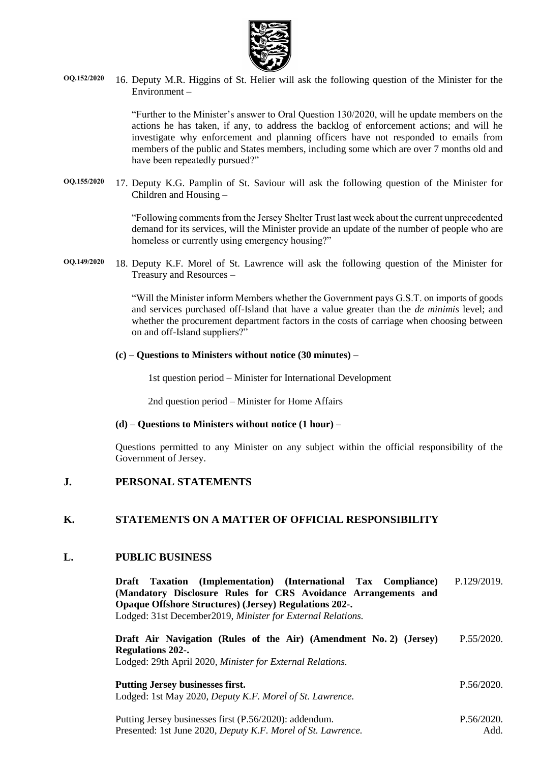

**OQ.152/2020** 16. Deputy M.R. Higgins of St. Helier will ask the following question of the Minister for the Environment –

> "Further to the Minister's answer to Oral Question 130/2020, will he update members on the actions he has taken, if any, to address the backlog of enforcement actions; and will he investigate why enforcement and planning officers have not responded to emails from members of the public and States members, including some which are over 7 months old and have been repeatedly pursued?"

**OQ.155/2020** 17. Deputy K.G. Pamplin of St. Saviour will ask the following question of the Minister for Children and Housing –

> "Following comments from the Jersey Shelter Trust last week about the current unprecedented demand for its services, will the Minister provide an update of the number of people who are homeless or currently using emergency housing?"

**OQ.149/2020** 18. Deputy K.F. Morel of St. Lawrence will ask the following question of the Minister for Treasury and Resources –

> "Will the Minister inform Members whether the Government pays G.S.T. on imports of goods and services purchased off-Island that have a value greater than the *de minimis* level; and whether the procurement department factors in the costs of carriage when choosing between on and off-Island suppliers?"

#### **(c) – Questions to Ministers without notice (30 minutes) –**

1st question period – Minister for International Development

2nd question period – Minister for Home Affairs

#### **(d) – Questions to Ministers without notice (1 hour) –**

Questions permitted to any Minister on any subject within the official responsibility of the Government of Jersey.

## **J. PERSONAL STATEMENTS**

### **K. STATEMENTS ON A MATTER OF OFFICIAL RESPONSIBILITY**

#### **L. PUBLIC BUSINESS**

**[Draft Taxation \(Implementation\) \(International Tax Compliance\)](https://statesassembly.gov.je/assemblypropositions/2019/p.129-2019.pdf)  [\(Mandatory Disclosure Rules for CRS Avoidance Arrangements and](https://statesassembly.gov.je/assemblypropositions/2019/p.129-2019.pdf)  [Opaque Offshore Structures\) \(Jersey\) Regulations 202-.](https://statesassembly.gov.je/assemblypropositions/2019/p.129-2019.pdf)** Lodged: 31st December2019, *[Minister for External Relations.](https://statesassembly.gov.je/assemblypropositions/2019/p.129-2019.pdf)* [P.129/2019.](https://statesassembly.gov.je/assemblypropositions/2019/p.129-2019.pdf)

| Draft Air Navigation (Rules of the Air) (Amendment No. 2) (Jersey) | P.55/2020. |
|--------------------------------------------------------------------|------------|
| <b>Regulations 202-.</b>                                           |            |
| Lodged: 29th April 2020, Minister for External Relations.          |            |
|                                                                    |            |
| <b>Putting Jersey businesses first.</b>                            | P.56/2020. |
| Lodged: 1st May 2020, Deputy K.F. Morel of St. Lawrence.           |            |
|                                                                    |            |

[Putting Jersey businesses first \(P.56/2020\): addendum.](https://statesassembly.gov.je/AssemblyPropositions/2020/P.56-2020Add.pdf) Presented: 1st June 2020, *[Deputy K.F. Morel of St. Lawrence.](https://statesassembly.gov.je/AssemblyPropositions/2020/P.56-2020Add.pdf)* [P.56/2020.](https://statesassembly.gov.je/AssemblyPropositions/2020/P.56-2020Add.pdf) [Add.](https://statesassembly.gov.je/AssemblyPropositions/2020/P.56-2020Add.pdf)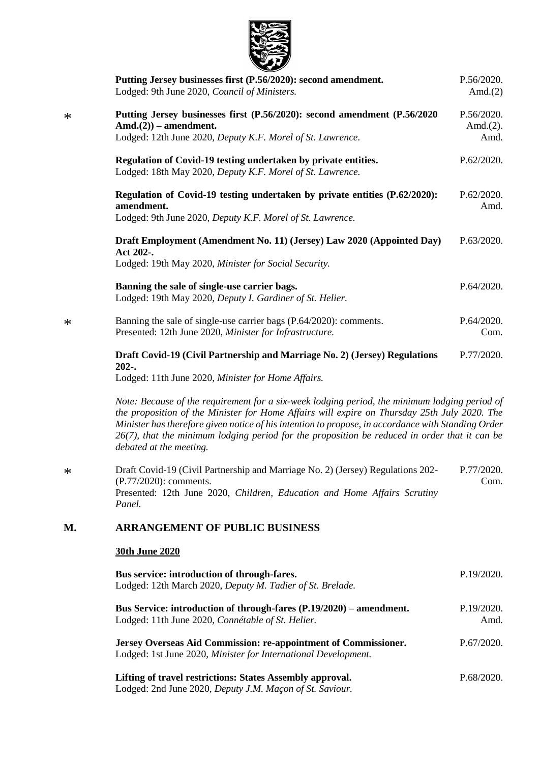

\*

\*

\*

|        | Putting Jersey businesses first (P.56/2020): second amendment.<br>Lodged: 9th June 2020, Council of Ministers.                                                                                                                                                                                                                                                                                                                     | P.56/2020.<br>Amd. $(2)$           |
|--------|------------------------------------------------------------------------------------------------------------------------------------------------------------------------------------------------------------------------------------------------------------------------------------------------------------------------------------------------------------------------------------------------------------------------------------|------------------------------------|
| $\ast$ | Putting Jersey businesses first (P.56/2020): second amendment (P.56/2020)<br>$Amd.(2))$ – amendment.<br>Lodged: 12th June 2020, Deputy K.F. Morel of St. Lawrence.                                                                                                                                                                                                                                                                 | P.56/2020.<br>Amd. $(2)$ .<br>Amd. |
|        | Regulation of Covid-19 testing undertaken by private entities.<br>Lodged: 18th May 2020, Deputy K.F. Morel of St. Lawrence.                                                                                                                                                                                                                                                                                                        | P.62/2020.                         |
|        | Regulation of Covid-19 testing undertaken by private entities (P.62/2020):<br>amendment.<br>Lodged: 9th June 2020, Deputy K.F. Morel of St. Lawrence.                                                                                                                                                                                                                                                                              | P.62/2020.<br>Amd.                 |
|        | Draft Employment (Amendment No. 11) (Jersey) Law 2020 (Appointed Day)<br>Act 202-.<br>Lodged: 19th May 2020, Minister for Social Security.                                                                                                                                                                                                                                                                                         | P.63/2020.                         |
|        | Banning the sale of single-use carrier bags.<br>Lodged: 19th May 2020, Deputy I. Gardiner of St. Helier.                                                                                                                                                                                                                                                                                                                           | P.64/2020.                         |
| $\ast$ | Banning the sale of single-use carrier bags (P.64/2020): comments.<br>Presented: 12th June 2020, Minister for Infrastructure.                                                                                                                                                                                                                                                                                                      | P.64/2020.<br>Com.                 |
|        | Draft Covid-19 (Civil Partnership and Marriage No. 2) (Jersey) Regulations<br>$202-.$<br>Lodged: 11th June 2020, Minister for Home Affairs.                                                                                                                                                                                                                                                                                        | P.77/2020.                         |
|        | Note: Because of the requirement for a six-week lodging period, the minimum lodging period of<br>the proposition of the Minister for Home Affairs will expire on Thursday 25th July 2020. The<br>Minister has therefore given notice of his intention to propose, in accordance with Standing Order<br>$26(7)$ , that the minimum lodging period for the proposition be reduced in order that it can be<br>debated at the meeting. |                                    |
| $\ast$ | Draft Covid-19 (Civil Partnership and Marriage No. 2) (Jersey) Regulations 202-<br>(P.77/2020): comments.<br>Presented: 12th June 2020, Children, Education and Home Affairs Scrutiny<br>Panel.                                                                                                                                                                                                                                    | P.77/2020.<br>Com.                 |
| М.     | <b>ARRANGEMENT OF PUBLIC BUSINESS</b>                                                                                                                                                                                                                                                                                                                                                                                              |                                    |
|        | <b>30th June 2020</b>                                                                                                                                                                                                                                                                                                                                                                                                              |                                    |
|        | Bus service: introduction of through-fares.<br>Lodged: 12th March 2020, Deputy M. Tadier of St. Brelade.                                                                                                                                                                                                                                                                                                                           | P.19/2020.                         |
|        | Bus Service: introduction of through-fares (P.19/2020) - amendment.<br>Lodged: 11th June 2020, Connétable of St. Helier.                                                                                                                                                                                                                                                                                                           | P.19/2020.<br>Amd.                 |

**[Jersey Overseas Aid Commission: re-appointment of Commissioner.](https://statesassembly.gov.je/AssemblyPropositions/2020/P.67-2020.pdf)** Lodged: 1st June 2020, *[Minister for International Development.](https://statesassembly.gov.je/AssemblyPropositions/2020/P.67-2020.pdf)* [P.67/2020.](https://statesassembly.gov.je/AssemblyPropositions/2020/P.67-2020.pdf)

**[Lifting of travel restrictions: States Assembly approval.](https://statesassembly.gov.je/AssemblyPropositions/2020/P.68-2020.pdf)** Lodged: 2nd June 2020, *[Deputy J.M. Maçon of St. Saviour.](https://statesassembly.gov.je/AssemblyPropositions/2020/P.68-2020.pdf)* [P.68/2020.](https://statesassembly.gov.je/AssemblyPropositions/2020/P.68-2020.pdf)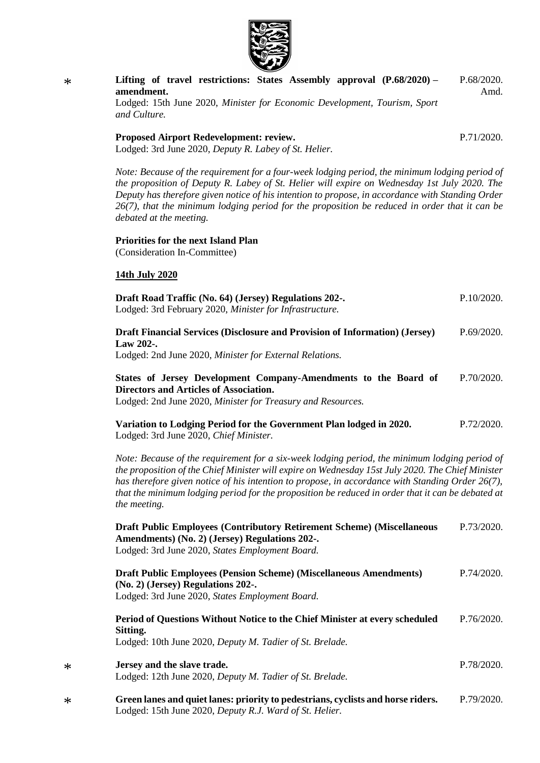

| $\ast$ | Lifting of travel restrictions: States Assembly approval (P.68/2020) –<br>amendment.<br>Lodged: 15th June 2020, Minister for Economic Development, Tourism, Sport<br>and Culture.                                                                                                                                                                                                                                                 | P.68/2020.<br>Amd. |
|--------|-----------------------------------------------------------------------------------------------------------------------------------------------------------------------------------------------------------------------------------------------------------------------------------------------------------------------------------------------------------------------------------------------------------------------------------|--------------------|
|        | Proposed Airport Redevelopment: review.<br>Lodged: 3rd June 2020, Deputy R. Labey of St. Helier.                                                                                                                                                                                                                                                                                                                                  | P.71/2020.         |
|        | Note: Because of the requirement for a four-week lodging period, the minimum lodging period of<br>the proposition of Deputy R. Labey of St. Helier will expire on Wednesday 1st July 2020. The<br>Deputy has therefore given notice of his intention to propose, in accordance with Standing Order<br>$26(7)$ , that the minimum lodging period for the proposition be reduced in order that it can be<br>debated at the meeting. |                    |
|        | <b>Priorities for the next Island Plan</b><br>(Consideration In-Committee)                                                                                                                                                                                                                                                                                                                                                        |                    |
|        | 14th July 2020                                                                                                                                                                                                                                                                                                                                                                                                                    |                    |
|        | Draft Road Traffic (No. 64) (Jersey) Regulations 202-.<br>Lodged: 3rd February 2020, Minister for Infrastructure.                                                                                                                                                                                                                                                                                                                 | P.10/2020.         |
|        | Draft Financial Services (Disclosure and Provision of Information) (Jersey)<br>Law 202-.<br>Lodged: 2nd June 2020, Minister for External Relations.                                                                                                                                                                                                                                                                               | P.69/2020.         |
|        | States of Jersey Development Company-Amendments to the Board of<br>Directors and Articles of Association.<br>Lodged: 2nd June 2020, Minister for Treasury and Resources.                                                                                                                                                                                                                                                          | P.70/2020.         |
|        | Variation to Lodging Period for the Government Plan lodged in 2020.<br>Lodged: 3rd June 2020, Chief Minister.                                                                                                                                                                                                                                                                                                                     | P.72/2020.         |
|        | Note: Because of the requirement for a six-week lodging period, the minimum lodging period of<br>the proposition of the Chief Minister will expire on Wednesday 15st July 2020. The Chief Minister<br>has therefore given notice of his intention to propose, in accordance with Standing Order 26(7),<br>that the minimum lodging period for the proposition be reduced in order that it can be debated at<br>the meeting.       |                    |
|        | <b>Draft Public Employees (Contributory Retirement Scheme) (Miscellaneous</b><br>Amendments) (No. 2) (Jersey) Regulations 202-.<br>Lodged: 3rd June 2020, States Employment Board.                                                                                                                                                                                                                                                | P.73/2020.         |
|        | <b>Draft Public Employees (Pension Scheme) (Miscellaneous Amendments)</b><br>(No. 2) (Jersey) Regulations 202-.<br>Lodged: 3rd June 2020, States Employment Board.                                                                                                                                                                                                                                                                | P.74/2020.         |
|        | Period of Questions Without Notice to the Chief Minister at every scheduled<br>Sitting.<br>Lodged: 10th June 2020, Deputy M. Tadier of St. Brelade.                                                                                                                                                                                                                                                                               | P.76/2020.         |
| ∗      | Jersey and the slave trade.<br>Lodged: 12th June 2020, Deputy M. Tadier of St. Brelade.                                                                                                                                                                                                                                                                                                                                           | P.78/2020.         |
| $\ast$ | Green lanes and quiet lanes: priority to pedestrians, cyclists and horse riders.<br>Lodged: 15th June 2020, Deputy R.J. Ward of St. Helier.                                                                                                                                                                                                                                                                                       | P.79/2020.         |

\*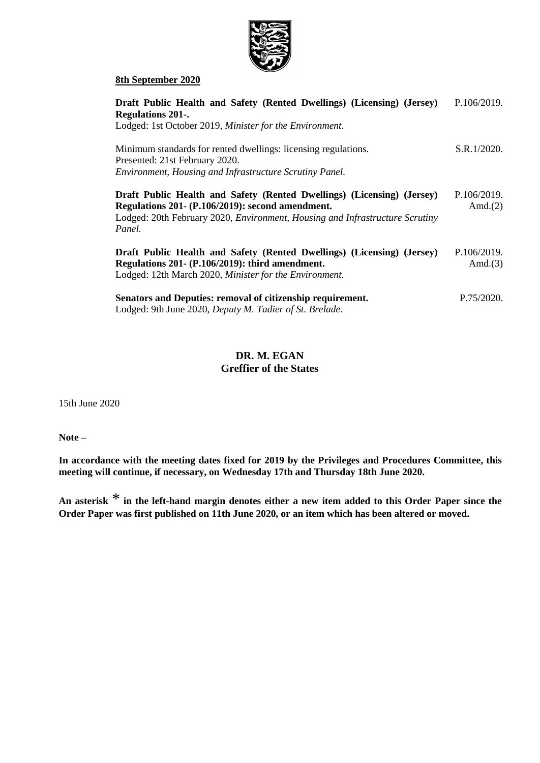

#### **8th September 2020**

| Draft Public Health and Safety (Rented Dwellings) (Licensing) (Jersey)<br><b>Regulations 201-.</b>                                                                                                                     | P.106/2019.               |
|------------------------------------------------------------------------------------------------------------------------------------------------------------------------------------------------------------------------|---------------------------|
| Lodged: 1st October 2019, Minister for the Environment.<br>Minimum standards for rented dwellings: licensing regulations.<br>Presented: 21st February 2020.<br>Environment, Housing and Infrastructure Scrutiny Panel. | S.R.1/2020.               |
| Draft Public Health and Safety (Rented Dwellings) (Licensing) (Jersey)<br>Regulations 201- (P.106/2019): second amendment.<br>Lodged: 20th February 2020, Environment, Housing and Infrastructure Scrutiny<br>Panel.   | P.106/2019.<br>Amd. $(2)$ |
| Draft Public Health and Safety (Rented Dwellings) (Licensing) (Jersey)<br>Regulations 201- (P.106/2019): third amendment.<br>Lodged: 12th March 2020, Minister for the Environment.                                    | P.106/2019.<br>Amd. $(3)$ |
| Senators and Deputies: removal of citizenship requirement.<br>Lodged: 9th June 2020, Deputy M. Tadier of St. Brelade.                                                                                                  | P.75/2020.                |

## **DR. M. EGAN Greffier of the States**

15th June 2020

**Note –**

**In accordance with the meeting dates fixed for 2019 by the Privileges and Procedures Committee, this meeting will continue, if necessary, on Wednesday 17th and Thursday 18th June 2020.**

**An asterisk** \* **in the left-hand margin denotes either a new item added to this Order Paper since the Order Paper was first published on 11th June 2020, or an item which has been altered or moved.**